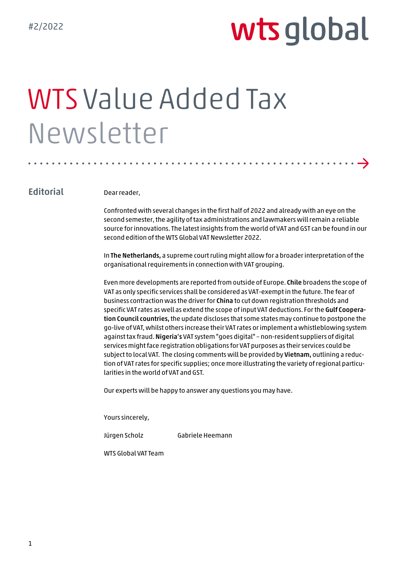→

# WTS Value Added Tax Newsletter

## **Editorial**

Dear reader,

Confronted with several changes in the first half of 2022 and already with an eye on the second semester, the agility of tax administrations and lawmakers will remain a reliable source for innovations. The latest insights from the world of VAT and GST can be found in our second edition of the WTS Global VAT Newsletter 2022.

In The Netherlands, a supreme court ruling might allow for a broader interpretation of the organisational requirements in connection with VAT grouping.

Even more developments are reported from outside of Europe. Chile broadens the scope of VAT as only specific services shall be considered as VAT-exempt in the future. The fear of business contraction was the driver for China to cut down registration thresholds and specific VAT rates as well as extend the scope of input VAT deductions. For the Gulf Cooperation Council countries, the update discloses that some states may continue to postpone the go-live of VAT, whilst others increase their VAT rates or implement a whistleblowing system against tax fraud.Nigeria's VAT system "goes digital" – non-resident suppliers of digital services might face registration obligations for VAT purposes as their services could be subject to local VAT. The closing comments will be provided by Vietnam, outlining a reduction of VAT rates for specific supplies; once more illustrating the variety of regional particularities in the world of VAT and GST.

Our experts will be happy to answer any questions you may have.

Yours sincerely,

Jürgen Scholz Gabriele Heemann

WTS Global VAT Team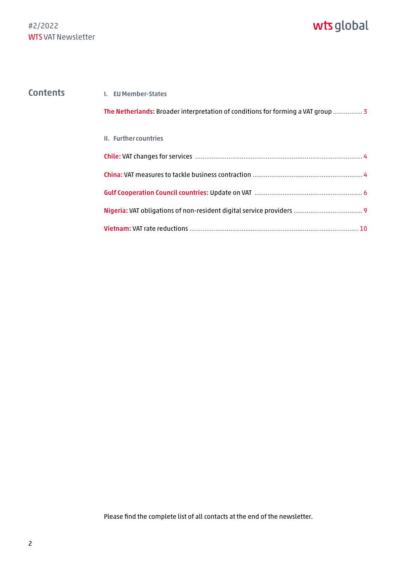| <b>Contents</b> | <b>I.</b> EU Member-States                                                       |
|-----------------|----------------------------------------------------------------------------------|
|                 | The Netherlands: Broader interpretation of conditions for forming a VAT group  3 |
|                 | II. Further countries                                                            |
|                 |                                                                                  |
|                 |                                                                                  |
|                 |                                                                                  |
|                 |                                                                                  |
|                 |                                                                                  |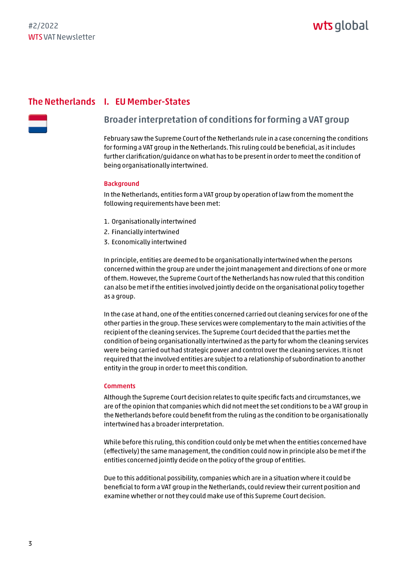## <span id="page-2-0"></span>The Netherlands I. EU Member-States

## Broader interpretation of conditions for forming a VAT group

February saw the Supreme Court of the Netherlands rule in a case concerning the conditions for forming a VAT group in the Netherlands. This ruling could be beneficial, as it includes further clarification/guidance on what has to be present in order to meet the condition of being organisationally intertwined.

#### **Background**

In the Netherlands, entities form a VAT group by operation of law from the moment the following requirements have been met:

- 1. Organisationally intertwined
- 2. Financially intertwined
- 3. Economically intertwined

In principle, entities are deemed to be organisationally intertwined when the persons concerned within the group are under the joint management and directions of one or more of them. However, the Supreme Court of the Netherlands has now ruled that this condition can also be met if the entities involved jointly decide on the organisational policy together as a group.

In the case at hand, one of the entities concerned carried out cleaning services for one of the other parties in the group. These services were complementary to the main activities of the recipient of the cleaning services. The Supreme Court decided that the parties met the condition of being organisationally intertwined as the party for whom the cleaning services were being carried out had strategic power and control over the cleaning services. It is not required that the involved entities are subject to a relationship of subordination to another entity in the group in order to meet this condition.

#### **Comments**

Although the Supreme Court decision relates to quite specific facts and circumstances, we are of the opinion that companies which did not meet the set conditions to be a VAT group in the Netherlands before could benefit from the ruling as the condition to be organisationally intertwined has a broader interpretation.

While before this ruling, this condition could only be met when the entities concerned have (effectively) the same management, the condition could now in principle also be met if the entities concerned jointly decide on the policy of the group of entities.

Due to this additional possibility, companies which are in a situation where it could be beneficial to form a VAT group in the Netherlands, could review their current position and examine whether or not they could make use of this Supreme Court decision.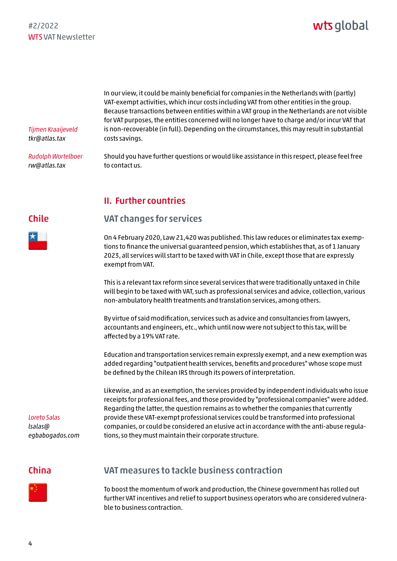# wts global

<span id="page-3-0"></span>*Tijmen Kraaijeveld tkr@atlas.tax*

*Rudolph Wortelboer rw@atlas.tax* 

In our view, it could be mainly beneficial for companies in the Netherlands with (partly) VAT-exempt activities, which incur costs including VAT from other entities in the group. Because transactions between entities within a VAT group in the Netherlands are not visible for VAT purposes, the entities concerned will no longer have to charge and/or incur VAT that is non-recoverable (in full). Depending on the circumstances, this may result in substantial costs savings.

Should you have further questions or would like assistance in this respect, please feel free to contact us.

## II. Further countries

## VAT changes for services

On 4 February 2020, Law 21,420 was published. This law reduces or eliminates tax exemptions to finance the universal guaranteed pension, which establishes that, as of 1 January 2023, all services will start to be taxed with VAT in Chile, except those that are expressly exempt from VAT.

This is a relevant tax reform since several services that were traditionally untaxed in Chile will begin to be taxed with VAT, such as professional services and advice, collection, various non-ambulatory health treatments and translation services, among others.

By virtue of said modification, services such as advice and consultancies from lawyers, accountants and engineers, etc., which until now were not subject to this tax, will be affected by a 19% VAT rate.

Education and transportation services remain expressly exempt, and a new exemption was added regarding "outpatient health services, benefits and procedures" whose scope must be defined by the Chilean IRS through its powers of interpretation.

Likewise, and as an exemption, the services provided by independent individuals who issue receipts for professional fees, and those provided by "professional companies" were added. Regarding the latter, the question remains as to whether the companies that currently provide these VAT-exempt professional services could be transformed into professional companies, or could be considered an elusive act in accordance with the anti-abuse regulations, so they must maintain their corporate structure.

## China

*Loreto Salas lsalas@*

*[egbabogados.com](mailto:lsalas@egbabogados.com)*



To boost the momentum of work and production, the Chinese government has rolled out further VAT incentives and relief to support business operators who are considered vulnerable to business contraction.

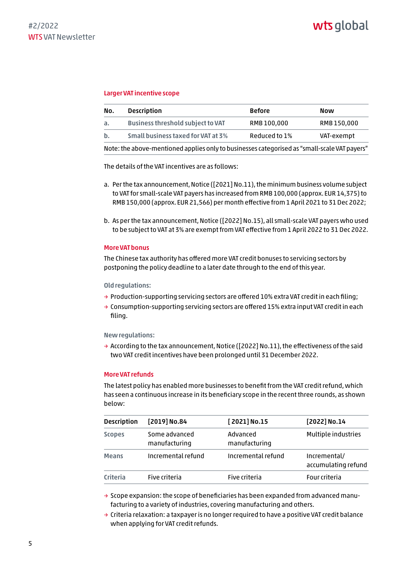#### Larger VAT incentive scope

| No. | <b>Description</b>                                                                           | <b>Before</b> | Now         |
|-----|----------------------------------------------------------------------------------------------|---------------|-------------|
| а.  | <b>Business threshold subject to VAT</b>                                                     | RMB 100,000   | RMB 150,000 |
| b.  | Small business taxed for VAT at 3%                                                           | Reduced to 1% | VAT-exempt  |
|     | Note: the above-mentioned applies only to businesses categorised as "small-scale VAT payers" |               |             |

The details of the VAT incentives are as follows:

- a. Per the tax announcement, Notice ([2021] No.11), the minimum business volume subject to VAT for small-scale VAT payers has increased from RMB 100,000 (approx. EUR 14,375) to RMB 150,000 (approx. EUR 21,566) per month effective from 1 April 2021 to 31 Dec 2022;
- b. As per the tax announcement, Notice ([2022] No.15), all small-scale VAT payers who used to be subject to VAT at 3% are exempt from VAT effective from 1 April 2022 to 31 Dec 2022.

#### More VAT bonus

The Chinese tax authority has offered more VAT credit bonuses to servicing sectors by postponing the policy deadline to a later date through to the end of this year.

#### Old regulations:

- $\rightarrow$  Production-supporting servicing sectors are offered 10% extra VAT credit in each filing;
- $\rightarrow$  Consumption-supporting servicing sectors are offered 15% extra input VAT credit in each filing.

#### New regulations:

 $\rightarrow$  According to the tax announcement, Notice ([2022] No.11), the effectiveness of the said two VAT credit incentives have been prolonged until 31 December 2022.

#### More VAT refunds

The latest policy has enabled more businesses to benefit from the VAT credit refund, which has seen a continuous increase in its beneficiary scope in the recent three rounds, as shown below:

| <b>Description</b> | [2019] No.84                   | $[2021]$ No.15            | [2022] No.14                        |
|--------------------|--------------------------------|---------------------------|-------------------------------------|
| <b>Scopes</b>      | Some advanced<br>manufacturing | Advanced<br>manufacturing | Multiple industries                 |
| <b>Means</b>       | Incremental refund             | Incremental refund        | Incremental/<br>accumulating refund |
| Criteria           | Five criteria                  | Five criteria             | Four criteria                       |

 $\rightarrow$  Scope expansion: the scope of beneficiaries has been expanded from advanced manufacturing to a variety of industries, covering manufacturing and others.

 $\rightarrow$  Criteria relaxation: a taxpayer is no longer required to have a positive VAT credit balance when applying for VAT credit refunds.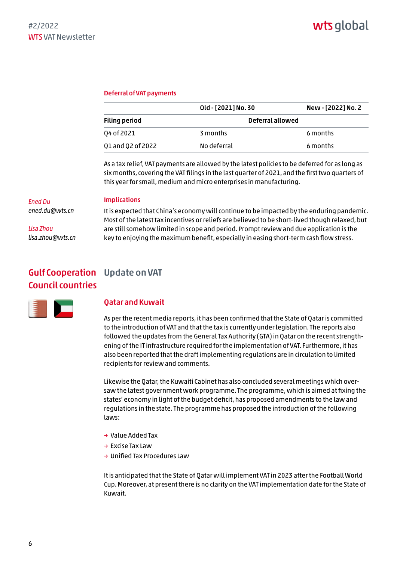#### <span id="page-5-0"></span>Deferral of VAT payments

|                      | Old - [2021] No. 30 | New - [2022] No. 2 |  |
|----------------------|---------------------|--------------------|--|
| <b>Filing period</b> |                     | Deferral allowed   |  |
| 04 of 2021           | 3 months            | 6 months           |  |
| Q1 and Q2 of 2022    | No deferral         | 6 months           |  |

As a tax relief, VAT payments are allowed by the latest policies to be deferred for as long as six months, covering the VAT filings in the last quarter of 2021, and the first two quarters of this year for small, medium and micro enterprises in manufacturing.

#### Implications

*ened.du@wts.cn*

*Ened Du*

*Lisa Zhou lisa.zhou@wts.cn*

It is expected that China's economy will continue to be impacted by the enduring pandemic. Most of the latest tax incentives or reliefs are believed to be short-lived though relaxed, but are still somehow limited in scope and period. Prompt review and due application is the key to enjoying the maximum benefit, especially in easing short-term cash flow stress.

## Gulf Cooperation Update on VAT Council countries



#### Qatar and Kuwait

As per the recent media reports, it has been confirmed that the State of Qatar is committed to the introduction of VAT and that the tax is currently under legislation. The reports also followed the updates from the General Tax Authority (GTA) in Qatar on the recent strengthening of the IT infrastructure required for the implementation of VAT. Furthermore, it has also been reported that the draft implementing regulations are in circulation to limited recipients for review and comments.

Likewise the Qatar, the Kuwaiti Cabinet has also concluded several meetings which oversaw the latest government work programme. The programme, which is aimed at fixing the states' economy in light of the budget deficit, has proposed amendments to the law and regulations in the state. The programme has proposed the introduction of the following laws:

- → Value Added Tax
- → Excise Tax Law
- → Unified Tax Procedures Law

It is anticipated that the State of Qatar will implement VAT in 2023 after the Football World Cup. Moreover, at present there is no clarity on the VAT implementation date for the State of Kuwait.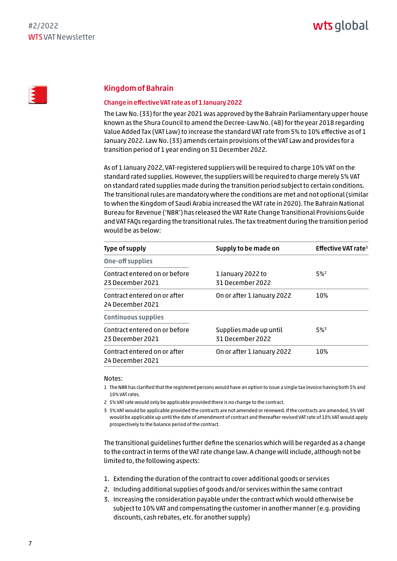## Kingdom of Bahrain

#### Change in effective VAT rate as of 1 January 2022

The Law No. (33) for the year 2021 was approved by the Bahrain Parliamentary upper house known as the Shura Council to amend the Decree-Law No. (48) for the year 2018 regarding Value Added Tax (VAT Law) to increase the standard VAT rate from 5% to 10% effective as of 1 January 2022. Law No. (33) amends certain provisions of the VAT Law and provides for a transition period of 1 year ending on 31 December 2022.

As of 1 January 2022, VAT-registered suppliers will be required to charge 10% VAT on the standard rated supplies. However, the suppliers will be required to charge merely 5% VAT on standard rated supplies made during the transition period subject to certain conditions. The transitional rules are mandatory where the conditions are met and not optional (similar to when the Kingdom of Saudi Arabia increased the VAT rate in 2020). The Bahrain National Bureau for Revenue ('NBR') has released the VAT Rate Change Transitional Provisions Guide and VAT FAQs regarding the transitional rules. The tax treatment during the transition period would be as below:

| Type of supply                                    | Supply to be made on                       | Effective VAT rate $1$ |  |
|---------------------------------------------------|--------------------------------------------|------------------------|--|
| One-off supplies                                  |                                            |                        |  |
| Contract entered on or before<br>23 December 2021 | 1 January 2022 to<br>31 December 2022      | $5\%$ <sup>2</sup>     |  |
| Contract entered on or after<br>24 December 2021  | On or after 1 January 2022                 | 10%                    |  |
| <b>Continuous supplies</b>                        |                                            |                        |  |
| Contract entered on or before<br>23 December 2021 | Supplies made up until<br>31 December 2022 | $5\%$ <sup>3</sup>     |  |
| Contract entered on or after<br>24 December 2021  | On or after 1 January 2022                 | 10%                    |  |

#### Notes:

- 1 The NBR has clarified that the registered persons would have an option to issue a single tax invoice having both 5% and 10% VAT rates.
- 2 5% VAT rate would only be applicable provided there is no change to the contract.
- 3 5% VAT would be applicable provided the contracts are not amended or renewed. If the contracts are amended, 5% VAT would be applicable up until the date of amendment of contract and thereafter revised VAT rate of 10% VAT would apply prospectively to the balance period of the contract.

The transitional guidelines further define the scenarios which will be regarded as a change to the contract in terms of the VAT rate change law. A change will include, although not be limited to, the following aspects:

- 1. Extending the duration of the contract to cover additional goods or services
- 2. Including additional supplies of goods and/or services within the same contract
- 3. Increasing the consideration payable under the contract which would otherwise be subject to 10% VAT and compensating the customer in another manner (e.g. providing discounts, cash rebates, etc. for another supply)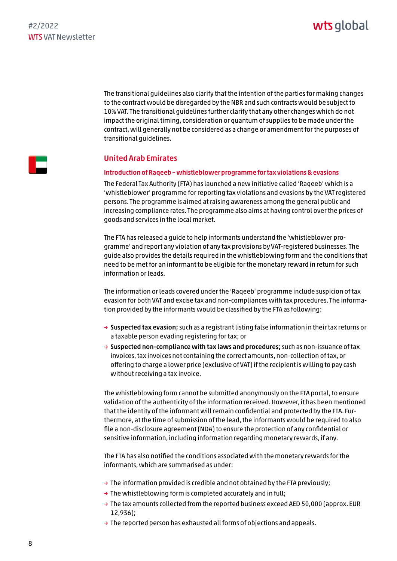# wts global

The transitional guidelines also clarify that the intention of the parties for making changes to the contract would be disregarded by the NBR and such contracts would be subject to 10% VAT. The transitional guidelines further clarify that any other changes which do not impact the original timing, consideration or quantum of supplies to be made under the contract, will generally not be considered as a change or amendment for the purposes of transitional guidelines.



### United Arab Emirates

#### Introduction of Raqeeb – whistleblower programme for tax violations & evasions

The Federal Tax Authority (FTA) has launched a new initiative called 'Raqeeb' which is a 'whistleblower' programme for reporting tax violations and evasions by the VAT registered persons. The programme is aimed at raising awareness among the general public and increasing compliance rates. The programme also aims at having control over the prices of goods and services in the local market.

The FTA has released a guide to help informants understand the 'whistleblower programme' and report any violation of any tax provisions by VAT-registered businesses. The guide also provides the details required in the whistleblowing form and the conditions that need to be met for an informant to be eligible for the monetary reward in return for such information or leads.

The information or leads covered under the 'Raqeeb' programme include suspicion of tax evasion for both VAT and excise tax and non-compliances with tax procedures. The information provided by the informants would be classified by the FTA as following:

- $\rightarrow$  Suspected tax evasion; such as a registrant listing false information in their tax returns or a taxable person evading registering for tax; or
- $\rightarrow$  Suspected non-compliance with tax laws and procedures; such as non-issuance of tax invoices, tax invoices not containing the correct amounts, non-collection of tax, or offering to charge a lower price (exclusive of VAT) if the recipient is willing to pay cash without receiving a tax invoice.

The whistleblowing form cannot be submitted anonymously on the FTA portal, to ensure validation of the authenticity of the information received. However, it has been mentioned that the identity of the informant will remain confidential and protected by the FTA. Furthermore, at the time of submission of the lead, the informants would be required to also file a non-disclosure agreement (NDA) to ensure the protection of any confidential or sensitive information, including information regarding monetary rewards, if any.

The FTA has also notified the conditions associated with the monetary rewards for the informants, which are summarised as under:

- $\rightarrow$  The information provided is credible and not obtained by the FTA previously;
- $\rightarrow$  The whistleblowing form is completed accurately and in full;
- $\rightarrow$  The tax amounts collected from the reported business exceed AED 50,000 (approx. EUR 12,936);
- $\rightarrow$  The reported person has exhausted all forms of objections and appeals.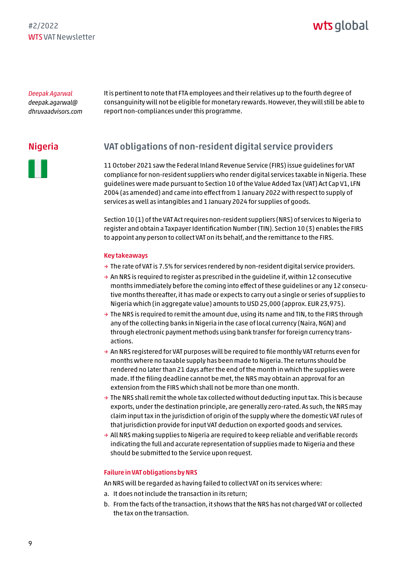# wts global

<span id="page-8-0"></span>*Deepak Agarwal deepak.agarwal@ [dhruvaadvisors.com](mailto:deepak.agarwal@dhruvaadvisors.com)* It is pertinent to note that FTA employees and their relatives up to the fourth degree of consanguinity will not be eligible for monetary rewards. However, they will still be able to report non-compliances under this programme.

## Nigeria

## VAT obligations of non-resident digital service providers

11 October 2021 saw the Federal Inland Revenue Service (FIRS) issue guidelines for VAT compliance for non-resident suppliers who render digital services taxable in Nigeria. These guidelines were made pursuant to Section 10 of the Value Added Tax (VAT) Act Cap V1, LFN 2004 (as amended) and came into effect from 1 January 2022 with respect to supply of services as well as intangibles and 1 January 2024 for supplies of goods.

Section 10 (1) of the VAT Act requires non-resident suppliers (NRS) of services to Nigeria to register and obtain a Taxpayer Identification Number (TIN). Section 10 (3) enables the FIRS to appoint any person to collect VAT on its behalf, and the remittance to the FIRS.

#### Key takeaways

- $\rightarrow$  The rate of VAT is 7.5% for services rendered by non-resident digital service providers.
- $\rightarrow$  An NRS is required to reqister as prescribed in the quideline if, within 12 consecutive months immediately before the coming into effect of these guidelines or any 12 consecutive months thereafter, it has made or expects to carry out a single or series of supplies to Nigeria which (in aggregate value) amounts to USD 25,000 (approx. EUR 23,975).
- $\rightarrow$  The NRS is required to remit the amount due, using its name and TIN, to the FIRS through any of the collecting banks in Nigeria in the case of local currency (Naira, NGN) and through electronic payment methods using bank transfer for foreign currency transactions.
- $\rightarrow$  An NRS registered for VAT purposes will be required to file monthly VAT returns even for months where no taxable supply has been made to Nigeria. The returns should be rendered no later than 21 days after the end of the month in which the supplies were made. If the filing deadline cannot be met, the NRS may obtain an approval for an extension from the FIRS which shall not be more than one month.
- $\rightarrow$  The NRS shall remit the whole tax collected without deducting input tax. This is because exports, under the destination principle, are generally zero-rated. As such, the NRS may claim input tax in the jurisdiction of origin of the supply where the domestic VAT rules of that jurisdiction provide for input VAT deduction on exported goods and services.
- $\rightarrow$  All NRS making supplies to Nigeria are required to keep reliable and verifiable records indicating the full and accurate representation of supplies made to Nigeria and these should be submitted to the Service upon request.

#### Failure in VAT obligations by NRS

An NRS will be regarded as having failed to collect VAT on its services where:

- a. It does not include the transaction in its return;
- b. From the facts of the transaction, it shows that the NRS has not charged VAT or collected the tax on the transaction.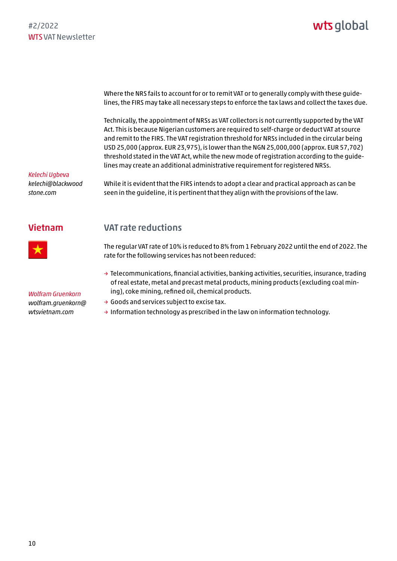<span id="page-9-0"></span>Where the NRS fails to account for or to remit VAT or to generally comply with these guidelines, the FIRS may take all necessary steps to enforce the tax laws and collect the taxes due.

Technically, the appointment of NRSs as VAT collectors is not currently supported by the VAT Act. This is because Nigerian customers are required to self-charge or deduct VAT at source and remit to the FIRS. The VAT registration threshold for NRSs included in the circular being USD 25,000 (approx. EUR 23,975), is lower than the NGN 25,000,000 (approx. EUR 57,702) threshold stated in the VAT Act, while the new mode of registration according to the guidelines may create an additional administrative requirement for registered NRSs.

*Kelechi Ugbeva [kelechi@blackwood](mailto:kelechi@blackwoodstone.com) stone.com*

While it is evident that the FIRS intends to adopt a clear and practical approach as can be seen in the guideline, it is pertinent that they align with the provisions of the law.

## Vietnam



*Wolfram Gruenkorn [wolfram.gruenkorn@](mailto:wolfram.gruenkorn@wtsvietnam.com) wtsvietnam.com*

## VAT rate reductions

The regular VAT rate of 10% is reduced to 8% from 1 February 2022 until the end of 2022. The rate for the following services has not been reduced:

- → Telecommunications, financial activities, banking activities, securities, insurance, trading of real estate, metal and precast metal products, mining products (excluding coal mining), coke mining, refined oil, chemical products.
- → Goods and services subject to excise tax.
- $\rightarrow$  Information technology as prescribed in the law on information technology.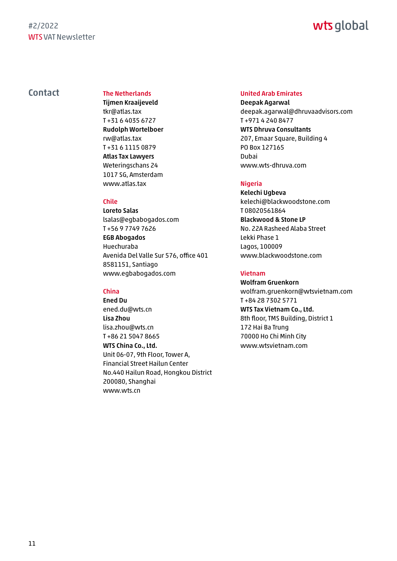# wts global

## <span id="page-10-0"></span>Contact The Netherlands

Tijmen Kraaijeveld tkr@atlas.tax T +31 6 4035 6727 Rudolph Wortelboer rw@atlas.tax T +31 6 1115 0879 Atlas Tax Lawyers Weteringschans 24 1017 SG, Amsterdam www.atlas.tax

#### Chile

Loreto Salas lsalas@egbabogados.com T +56 9 7749 7626 EGB Abogados Huechuraba Avenida Del Valle Sur 576, office 401 8581151, Santiago www.egbabogados.com

#### China

Ened Du ened.du@wts.cn Lisa Zhou lisa.zhou@wts.cn T +86 21 5047 8665 WTS China Co., Ltd. Unit 06-07, 9th Floor, Tower A, Financial Street Hailun Center No.440 Hailun Road, Hongkou District 200080, Shanghai www.wts.cn

#### United Arab Emirates

Deepak Agarwal deepak.agarwal@dhruvaadvisors.com T +971 4 240 8477 WTS Dhruva Consultants 207, Emaar Square, Building 4 PO Box 127165 Dubai www.wts-dhruva.com

### Nigeria

Kelechi Ugbeva kelechi@blackwoodstone.com T 08020561864 Blackwood & Stone LP No. 22A Rasheed Alaba Street Lekki Phase 1 Lagos, 100009 www.blackwoodstone.com

#### Vietnam

Wolfram Gruenkorn wolfram.gruenkorn@wtsvietnam.com T +84 28 7302 5771 WTS Tax Vietnam Co., Ltd. 8th floor, TMS Building, District 1 172 Hai Ba Trung 70000 Ho Chi Minh City www.wtsvietnam.com